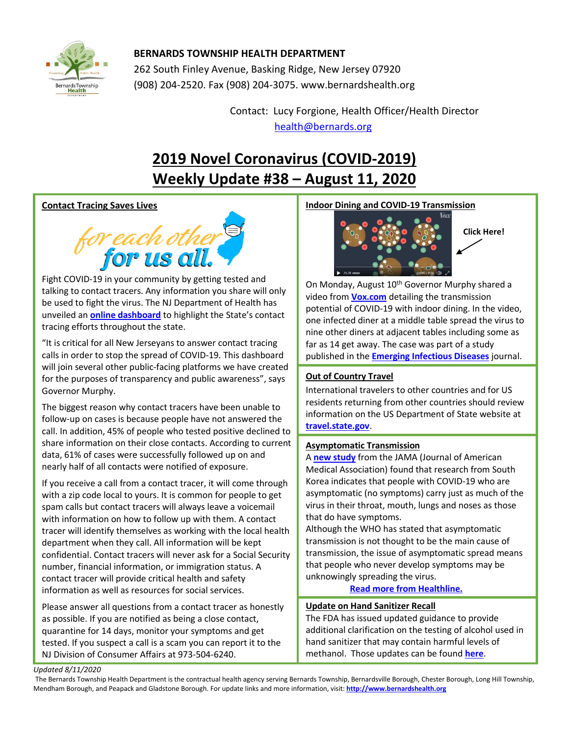

# **BERNARDS TOWNSHIP HEALTH DEPARTMENT**

262 South Finley Avenue, Basking Ridge, New Jersey 07920 (908) 204-2520. Fax (908) 204-3075[. www.bernardshealth.org](http://www.bernardshealth.org/)

> Contact: Lucy Forgione, Health Officer/Health Director [health@bernards.org](mailto:health@bernards.org)

# **2019 Novel Coronavirus (COVID-2019) Weekly Update #38 – August 11, 2020**

# **Contact Tracing Saves Lives**



Fight COVID-19 in your community by getting tested and talking to contact tracers. Any information you share will only be used to fight the virus. The NJ Department of Health has unveiled an **[online dashboard](https://www.nj.gov/health/cd/topics/covid2019_dashboard.shtml)** to highlight the State's contact tracing efforts throughout the state.

"It is critical for all New Jerseyans to answer contact tracing calls in order to stop the spread of COVID-19. This dashboard will join several other public-facing platforms we have created for the purposes of transparency and public awareness", says Governor Murphy.

The biggest reason why contact tracers have been unable to follow-up on cases is because people have not answered the call. In addition, 45% of people who tested positive declined to share information on their close contacts. According to current data, 61% of cases were successfully followed up on and nearly half of all contacts were notified of exposure.

If you receive a call from a contact tracer, it will come through with a zip code local to yours. It is common for people to get spam calls but contact tracers will always leave a voicemail with information on how to follow up with them. A contact tracer will identify themselves as working with the local health department when they call. All information will be kept confidential. Contact tracers will never ask for a Social Security number, financial information, or immigration status. A contact tracer will provide critical health and safety information as well as resources for social services.

Please answer all questions from a contact tracer as honestly as possible. If you are notified as being a close contact, quarantine for 14 days, monitor your symptoms and get tested. If you suspect a call is a scam you can report it to the NJ Division of Consumer Affairs at 973-504-6240.

## **Indoor Dining and COVID-19 Transmission**



**Click Here!**

On Monday, August 10<sup>th</sup> Governor Murphy shared a video from **[Vox.com](https://www.vox.com/2020/8/4/21352599/covid-19-restaurants-bars-bailout)** detailing the transmission potential of COVID-19 with indoor dining. In the video, one infected diner at a middle table spread the virus to nine other diners at adjacent tables including some as far as 14 get away. The case was part of a study published in the **[Emerging Infectious Diseases](https://wwwnc.cdc.gov/eid/articles/issue/26/7/table-of-contents)** journal.

## **Out of Country Travel**

International travelers to other countries and for US residents returning from other countries should review information on the US Department of State website at **[travel.state.gov](https://travel.state.gov/content/travel.html)**.

## **Asymptomatic Transmission**

A **[new study](https://jamanetwork.com/journals/jamainternalmedicine/fullarticle/2769235)** from the JAMA (Journal of American Medical Association) found that research from South Korea indicates that people with COVID-19 who are asymptomatic (no symptoms) carry just as much of the virus in their throat, mouth, lungs and noses as those that do have symptoms.

Although the WHO has stated that asymptomatic transmission is not thought to be the main cause of transmission, the issue of asymptomatic spread means that people who never develop symptoms may be unknowingly spreading the virus.

**[Read more from Healthline.](https://www.healthline.com/health-news/people-without-symptoms-carry-just-as-much-covid-19-as-symptomatic-people#What-this-means-about-transmission)**

## **Update on Hand Sanitizer Recall**

The FDA has issued updated guidance to provide additional clarification on the testing of alcohol used in hand sanitizer that may contain harmful levels of methanol. Those updates can be found **[here](https://www.fda.gov/drugs/coronavirus-covid-19-drugs/hand-sanitizers-covid-19)**.

*Updated 8/11/2020* 

The Bernards Township Health Department is the contractual health agency serving Bernards Township, Bernardsville Borough, Chester Borough, Long Hill Township, Mendham Borough, and Peapack and Gladstone Borough. For update links and more information, visit: **[http://www.bernardshealth.org](http://www.bernardshealth.org/)**